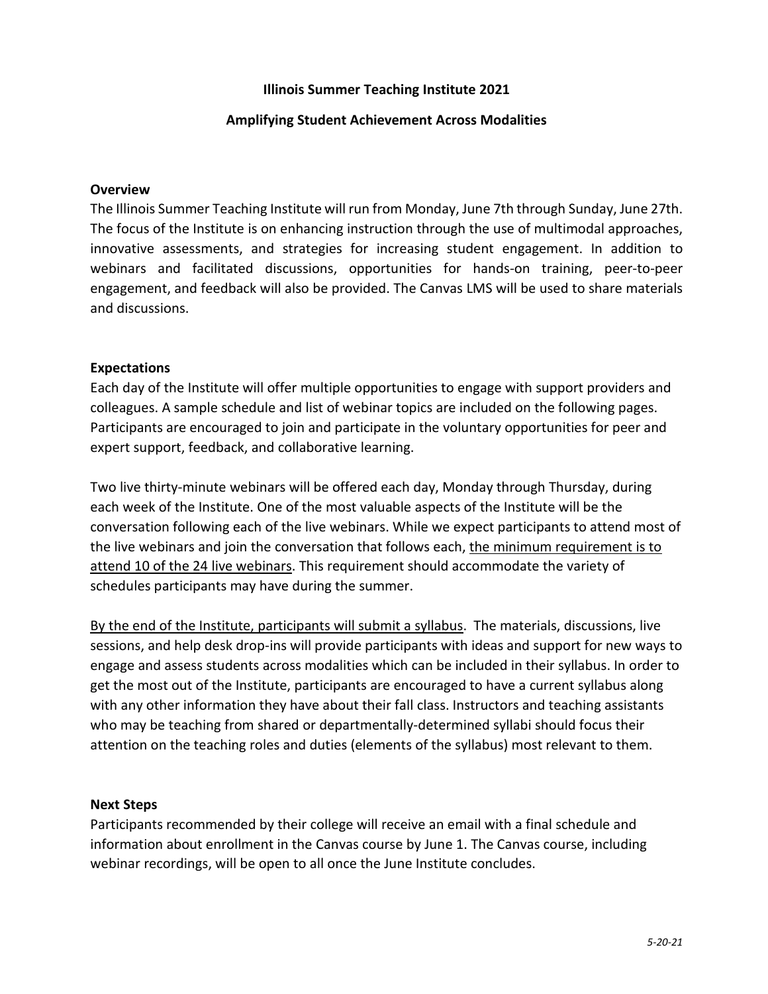# **Illinois Summer Teaching Institute 2021**

# **Amplifying Student Achievement Across Modalities**

#### **Overview**

The Illinois Summer Teaching Institute will run from Monday, June 7th through Sunday, June 27th. The focus of the Institute is on enhancing instruction through the use of multimodal approaches, innovative assessments, and strategies for increasing student engagement. In addition to webinars and facilitated discussions, opportunities for hands-on training, peer-to-peer engagement, and feedback will also be provided. The Canvas LMS will be used to share materials and discussions.

#### **Expectations**

Each day of the Institute will offer multiple opportunities to engage with support providers and colleagues. A sample schedule and list of webinar topics are included on the following pages. Participants are encouraged to join and participate in the voluntary opportunities for peer and expert support, feedback, and collaborative learning.

Two live thirty-minute webinars will be offered each day, Monday through Thursday, during each week of the Institute. One of the most valuable aspects of the Institute will be the conversation following each of the live webinars. While we expect participants to attend most of the live webinars and join the conversation that follows each, the minimum requirement is to attend 10 of the 24 live webinars. This requirement should accommodate the variety of schedules participants may have during the summer.

By the end of the Institute, participants will submit a syllabus. The materials, discussions, live sessions, and help desk drop-ins will provide participants with ideas and support for new ways to engage and assess students across modalities which can be included in their syllabus. In order to get the most out of the Institute, participants are encouraged to have a current syllabus along with any other information they have about their fall class. Instructors and teaching assistants who may be teaching from shared or departmentally-determined syllabi should focus their attention on the teaching roles and duties (elements of the syllabus) most relevant to them.

#### **Next Steps**

Participants recommended by their college will receive an email with a final schedule and information about enrollment in the Canvas course by June 1. The Canvas course, including webinar recordings, will be open to all once the June Institute concludes.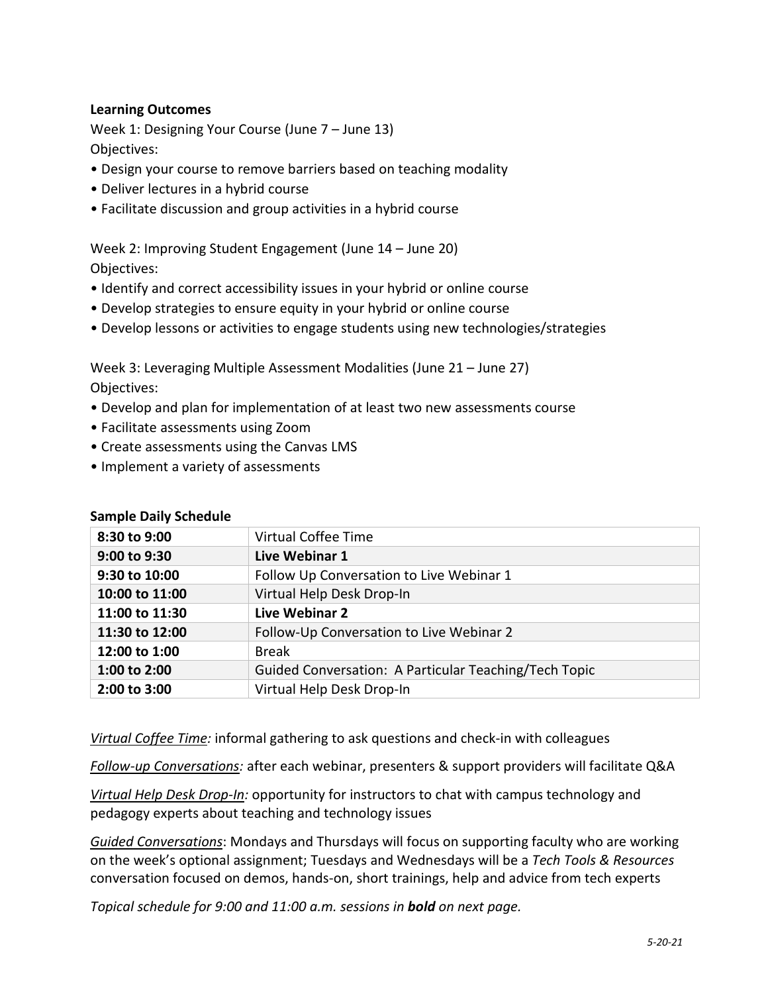# **Learning Outcomes**

Week 1: Designing Your Course (June 7 – June 13) Objectives:

- Design your course to remove barriers based on teaching modality
- Deliver lectures in a hybrid course
- Facilitate discussion and group activities in a hybrid course

Week 2: Improving Student Engagement (June 14 – June 20) Objectives:

- Identify and correct accessibility issues in your hybrid or online course
- Develop strategies to ensure equity in your hybrid or online course
- Develop lessons or activities to engage students using new technologies/strategies

Week 3: Leveraging Multiple Assessment Modalities (June 21 – June 27) Objectives:

- Develop and plan for implementation of at least two new assessments course
- Facilitate assessments using Zoom
- Create assessments using the Canvas LMS
- Implement a variety of assessments

| 8:30 to 9:00   | Virtual Coffee Time                                   |
|----------------|-------------------------------------------------------|
| 9:00 to 9:30   | Live Webinar 1                                        |
| 9:30 to 10:00  | Follow Up Conversation to Live Webinar 1              |
| 10:00 to 11:00 | Virtual Help Desk Drop-In                             |
| 11:00 to 11:30 | Live Webinar 2                                        |
| 11:30 to 12:00 | Follow-Up Conversation to Live Webinar 2              |
| 12:00 to 1:00  | <b>Break</b>                                          |
| 1:00 to 2:00   | Guided Conversation: A Particular Teaching/Tech Topic |
| 2:00 to 3:00   | Virtual Help Desk Drop-In                             |

## **Sample Daily Schedule**

*Virtual Coffee Time:* informal gathering to ask questions and check-in with colleagues

*Follow-up Conversations:* after each webinar, presenters & support providers will facilitate Q&A

*Virtual Help Desk Drop-In:* opportunity for instructors to chat with campus technology and pedagogy experts about teaching and technology issues

*Guided Conversations*: Mondays and Thursdays will focus on supporting faculty who are working on the week's optional assignment; Tuesdays and Wednesdays will be a *Tech Tools & Resources* conversation focused on demos, hands-on, short trainings, help and advice from tech experts

*Topical schedule for 9:00 and 11:00 a.m. sessions in bold on next page.*